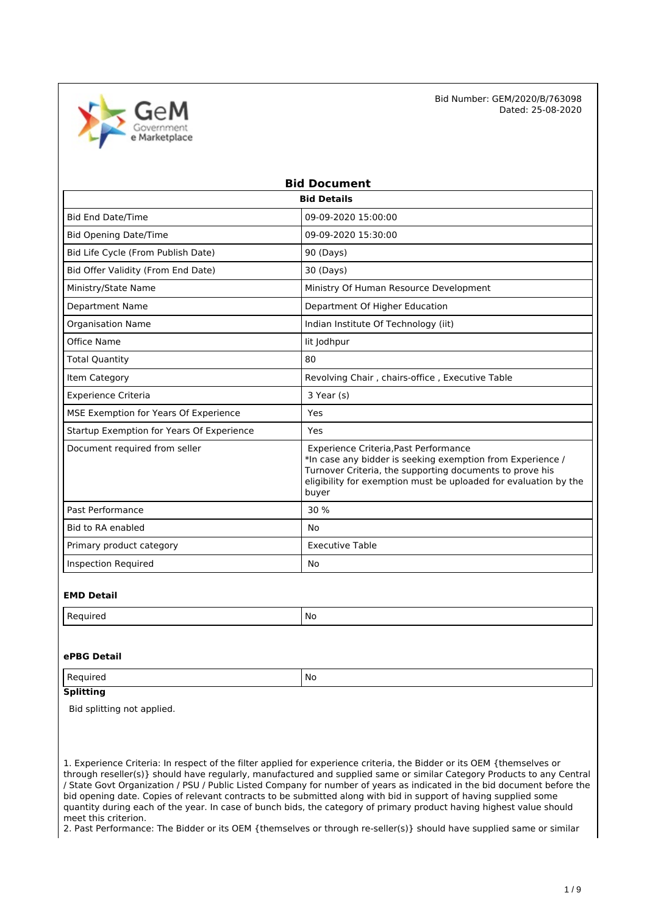

| <b>Bid Document</b>                       |                                                                                                                                                                                                                                              |  |  |  |
|-------------------------------------------|----------------------------------------------------------------------------------------------------------------------------------------------------------------------------------------------------------------------------------------------|--|--|--|
|                                           | <b>Bid Details</b>                                                                                                                                                                                                                           |  |  |  |
| <b>Bid End Date/Time</b>                  | 09-09-2020 15:00:00                                                                                                                                                                                                                          |  |  |  |
| <b>Bid Opening Date/Time</b>              | 09-09-2020 15:30:00                                                                                                                                                                                                                          |  |  |  |
| Bid Life Cycle (From Publish Date)        | 90 (Days)                                                                                                                                                                                                                                    |  |  |  |
| Bid Offer Validity (From End Date)        | 30 (Days)                                                                                                                                                                                                                                    |  |  |  |
| Ministry/State Name                       | Ministry Of Human Resource Development                                                                                                                                                                                                       |  |  |  |
| <b>Department Name</b>                    | Department Of Higher Education                                                                                                                                                                                                               |  |  |  |
| <b>Organisation Name</b>                  | Indian Institute Of Technology (iit)                                                                                                                                                                                                         |  |  |  |
| Office Name                               | lit Jodhpur                                                                                                                                                                                                                                  |  |  |  |
| <b>Total Quantity</b>                     | 80                                                                                                                                                                                                                                           |  |  |  |
| Item Category                             | Revolving Chair, chairs-office, Executive Table                                                                                                                                                                                              |  |  |  |
| <b>Experience Criteria</b>                | 3 Year (s)                                                                                                                                                                                                                                   |  |  |  |
| MSE Exemption for Years Of Experience     | Yes                                                                                                                                                                                                                                          |  |  |  |
| Startup Exemption for Years Of Experience | Yes                                                                                                                                                                                                                                          |  |  |  |
| Document required from seller             | Experience Criteria, Past Performance<br>*In case any bidder is seeking exemption from Experience /<br>Turnover Criteria, the supporting documents to prove his<br>eligibility for exemption must be uploaded for evaluation by the<br>buyer |  |  |  |
| Past Performance                          | 30 %                                                                                                                                                                                                                                         |  |  |  |
| Bid to RA enabled                         | <b>No</b>                                                                                                                                                                                                                                    |  |  |  |
| Primary product category                  | <b>Executive Table</b>                                                                                                                                                                                                                       |  |  |  |
| <b>Inspection Required</b>                | No                                                                                                                                                                                                                                           |  |  |  |

#### **EMD Detail**

| -<br><b>No</b><br>. |
|---------------------|
|---------------------|

#### **ePBG Detail**

| Required | No<br>$\sim$ |
|----------|--------------|
|----------|--------------|

#### **Splitting**

Bid splitting not applied.

1. Experience Criteria: In respect of the filter applied for experience criteria, the Bidder or its OEM {themselves or through reseller(s)} should have regularly, manufactured and supplied same or similar Category Products to any Central / State Govt Organization / PSU / Public Listed Company for number of years as indicated in the bid document before the bid opening date. Copies of relevant contracts to be submitted along with bid in support of having supplied some quantity during each of the year. In case of bunch bids, the category of primary product having highest value should meet this criterion.

2. Past Performance: The Bidder or its OEM {themselves or through re-seller(s)} should have supplied same or similar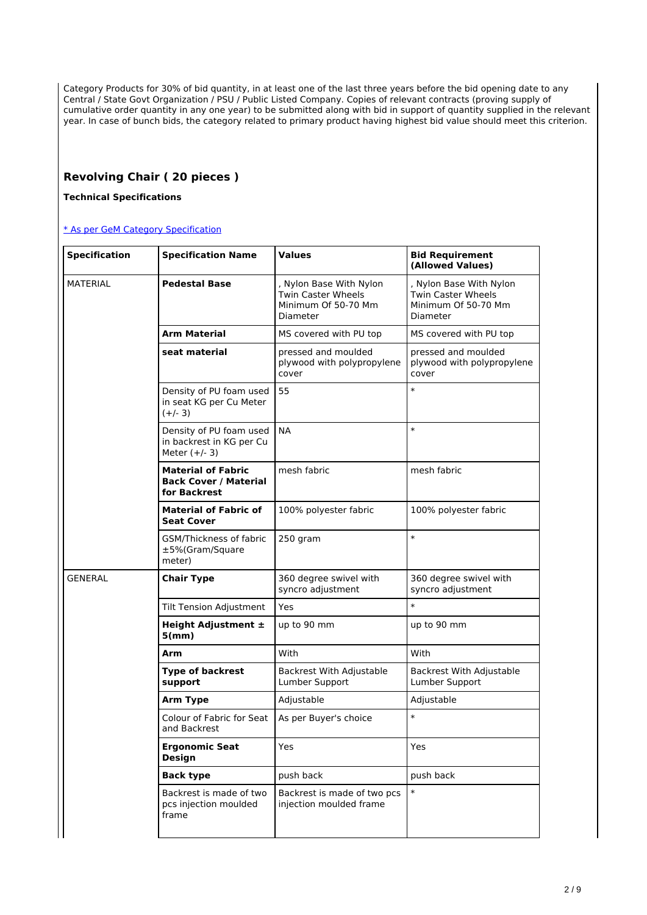Category Products for 30% of bid quantity, in at least one of the last three years before the bid opening date to any Central / State Govt Organization / PSU / Public Listed Company. Copies of relevant contracts (proving supply of cumulative order quantity in any one year) to be submitted along with bid in support of quantity supplied in the relevant year. In case of bunch bids, the category related to primary product having highest bid value should meet this criterion.

## **Revolving Chair ( 20 pieces )**

#### **Technical Specifications**

#### [\\* As per GeM Category Specification](https://bidplus.gem.gov.in/bidding/bid/showCatalogue/TtrKgR5TxiY-cBpgwlH2ZPVJJo0M_zTcuzOUsOMxH0o)

| <b>Specification</b> | <b>Specification Name</b>                                                 | <b>Values</b>                                                                    | <b>Bid Requirement</b><br>(Allowed Values)                                              |
|----------------------|---------------------------------------------------------------------------|----------------------------------------------------------------------------------|-----------------------------------------------------------------------------------------|
| <b>MATERIAL</b>      | <b>Pedestal Base</b>                                                      | , Nylon Base With Nylon<br>Twin Caster Wheels<br>Minimum Of 50-70 Mm<br>Diameter | , Nylon Base With Nylon<br><b>Twin Caster Wheels</b><br>Minimum Of 50-70 Mm<br>Diameter |
|                      | Arm Material                                                              | MS covered with PU top                                                           | MS covered with PU top                                                                  |
|                      | seat material                                                             | pressed and moulded<br>plywood with polypropylene<br>cover                       | pressed and moulded<br>plywood with polypropylene<br>cover                              |
|                      | Density of PU foam used<br>in seat KG per Cu Meter<br>$(+/- 3)$           | 55                                                                               | $\ast$                                                                                  |
|                      | Density of PU foam used<br>in backrest in KG per Cu<br>Meter $(+/- 3)$    | <b>NA</b>                                                                        | $\ast$                                                                                  |
|                      | <b>Material of Fabric</b><br><b>Back Cover / Material</b><br>for Backrest | mesh fabric                                                                      | mesh fabric                                                                             |
|                      | <b>Material of Fabric of</b><br><b>Seat Cover</b>                         | 100% polyester fabric                                                            | 100% polyester fabric                                                                   |
|                      | GSM/Thickness of fabric<br>±5%(Gram/Square<br>meter)                      | 250 gram                                                                         | $\ast$                                                                                  |
| <b>GENERAL</b>       | <b>Chair Type</b>                                                         | 360 degree swivel with<br>syncro adjustment                                      | 360 degree swivel with<br>syncro adjustment                                             |
|                      | <b>Tilt Tension Adjustment</b>                                            | <b>Yes</b>                                                                       | $\ast$                                                                                  |
|                      | Height Adjustment ±<br>5(mm)                                              | up to 90 mm                                                                      | up to 90 mm                                                                             |
|                      | Arm                                                                       | With                                                                             | With                                                                                    |
|                      | <b>Type of backrest</b><br>support                                        | Backrest With Adjustable<br>Lumber Support                                       | Backrest With Adjustable<br>Lumber Support                                              |
|                      | <b>Arm Type</b>                                                           | Adjustable                                                                       | Adjustable                                                                              |
|                      | Colour of Fabric for Seat<br>and Backrest                                 | As per Buyer's choice                                                            | $\ast$                                                                                  |
|                      | <b>Ergonomic Seat</b><br><b>Design</b>                                    | Yes                                                                              | Yes                                                                                     |
|                      | <b>Back type</b>                                                          | push back                                                                        | push back                                                                               |
|                      | Backrest is made of two<br>pcs injection moulded<br>frame                 | Backrest is made of two pcs<br>injection moulded frame                           |                                                                                         |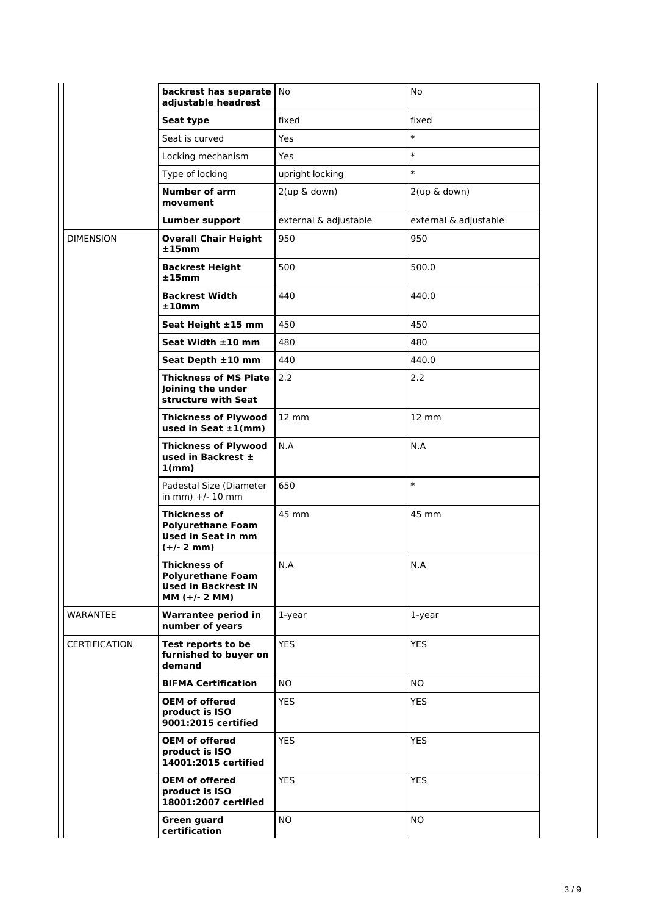|                      | backrest has separate<br>adjustable headrest                                                   | No                    | No                    |
|----------------------|------------------------------------------------------------------------------------------------|-----------------------|-----------------------|
|                      | Seat type                                                                                      | fixed                 | fixed                 |
|                      | Seat is curved                                                                                 | Yes                   | $\ast$                |
|                      | Locking mechanism                                                                              | Yes                   | $\ast$                |
|                      | Type of locking                                                                                | upright locking       | $\ast$                |
|                      | <b>Number of arm</b><br>movement                                                               | 2(up & down)          | 2(up & down)          |
|                      | <b>Lumber support</b>                                                                          | external & adjustable | external & adjustable |
| <b>DIMENSION</b>     | <b>Overall Chair Height</b><br>±15mm                                                           | 950                   | 950                   |
|                      | <b>Backrest Height</b><br>±15mm                                                                | 500                   | 500.0                 |
|                      | <b>Backrest Width</b><br>±10mm                                                                 | 440                   | 440.0                 |
|                      | Seat Height ±15 mm                                                                             | 450                   | 450                   |
|                      | Seat Width $\pm 10$ mm                                                                         | 480                   | 480                   |
|                      | Seat Depth ±10 mm                                                                              | 440                   | 440.0                 |
|                      | <b>Thickness of MS Plate</b><br>Joining the under<br>structure with Seat                       | 2.2                   | 2.2                   |
|                      | <b>Thickness of Plywood</b><br>used in Seat $\pm 1$ (mm)                                       | $12 \text{ mm}$       | $12 \text{ mm}$       |
|                      | <b>Thickness of Plywood</b><br>used in Backrest $\pm$<br>$1$ (mm)                              | N.A                   | N.A                   |
|                      | Padestal Size (Diameter<br>in mm) $+/- 10$ mm                                                  | 650                   | $\ast$                |
|                      | <b>Thickness of</b><br><b>Polyurethane Foam</b><br><b>Used in Seat in mm</b><br>$(+/- 2 mm)$   | 45 mm                 | 45 mm                 |
|                      | <b>Thickness of</b><br><b>Polyurethane Foam</b><br><b>Used in Backrest IN</b><br>MM (+/- 2 MM) | N.A                   | N.A                   |
| <b>WARANTEE</b>      | <b>Warrantee period in</b><br>number of years                                                  | 1-year                | 1-year                |
| <b>CERTIFICATION</b> | Test reports to be<br>furnished to buyer on<br>demand                                          | <b>YES</b>            | <b>YES</b>            |
|                      | <b>BIFMA Certification</b>                                                                     | NO.                   | <b>NO</b>             |
|                      | <b>OEM of offered</b><br>product is ISO<br>9001:2015 certified                                 | <b>YES</b>            | <b>YES</b>            |
|                      | <b>OEM of offered</b><br>product is ISO<br>14001:2015 certified                                | <b>YES</b>            | <b>YES</b>            |
|                      | <b>OEM of offered</b><br>product is ISO<br>18001:2007 certified                                | <b>YES</b>            | <b>YES</b>            |
|                      | <b>Green guard</b><br>certification                                                            | NO.                   | <b>NO</b>             |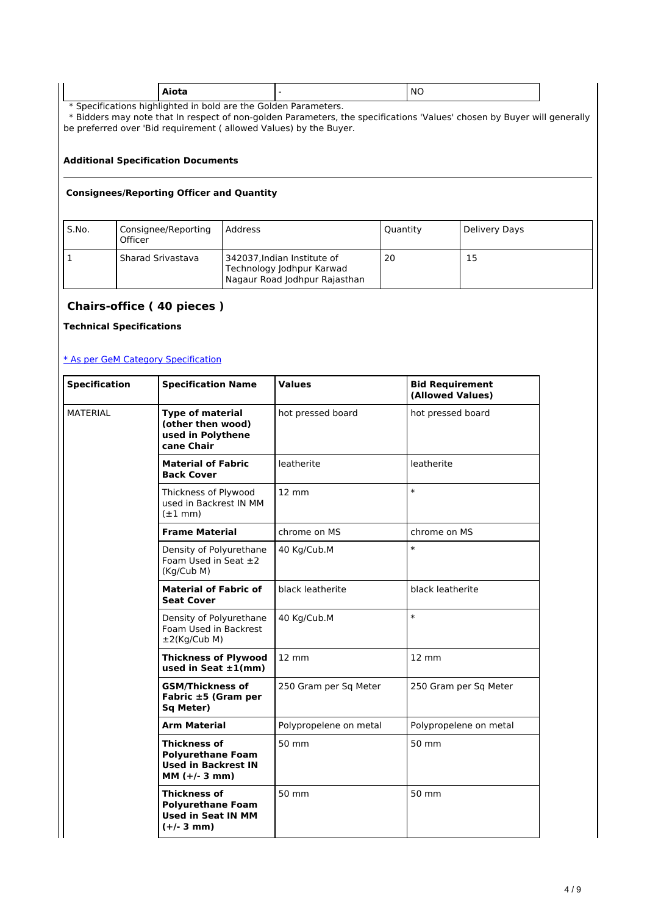|                                                                      |  | Nint<br>AIVLa |  | <b>NO</b> |  |
|----------------------------------------------------------------------|--|---------------|--|-----------|--|
| I in bold are the Golden Parameters.<br>* Specifications highlighted |  |               |  |           |  |

 \* Bidders may note that In respect of non-golden Parameters, the specifications 'Values' chosen by Buyer will generally be preferred over 'Bid requirement ( allowed Values) by the Buyer.

### **Additional Specification Documents**

### **Consignees/Reporting Officer and Quantity**

| S.No. | Consignee/Reporting<br>Officer | Address                                                                                   | Quantity | Delivery Days |
|-------|--------------------------------|-------------------------------------------------------------------------------------------|----------|---------------|
|       | Sharad Srivastava              | 342037, Indian Institute of<br>Technology Jodhpur Karwad<br>Nagaur Road Jodhpur Rajasthan | 20       | 15            |

## **Chairs-office ( 40 pieces )**

### **Technical Specifications**

### [\\* As per GeM Category Specification](https://bidplus.gem.gov.in/bidding/bid/showCatalogue/Wopx957zmLEcdS5egpC8KdxHoLy7WqZ8FsDPnB5sYzA)

| <b>Specification</b> | <b>Specification Name</b>                                                                        | <b>Values</b>          | <b>Bid Requirement</b><br>(Allowed Values) |
|----------------------|--------------------------------------------------------------------------------------------------|------------------------|--------------------------------------------|
| <b>MATERIAL</b>      | <b>Type of material</b><br>(other then wood)<br>used in Polythene<br>cane Chair                  | hot pressed board      | hot pressed board                          |
|                      | <b>Material of Fabric</b><br><b>Back Cover</b>                                                   | leatherite             | leatherite                                 |
|                      | Thickness of Plywood<br>used in Backrest IN MM<br>$(\pm 1$ mm)                                   | $12 \, \text{mm}$      | $\ast$                                     |
|                      | <b>Frame Material</b>                                                                            | chrome on MS           | chrome on MS                               |
|                      | Density of Polyurethane<br>Foam Used in Seat $\pm 2$<br>(Kg/Cub M)                               | 40 Kg/Cub.M            | $\ast$                                     |
|                      | <b>Material of Fabric of</b><br><b>Seat Cover</b>                                                | black leatherite       | black leatherite                           |
|                      | Density of Polyurethane<br>Foam Used in Backrest<br>$\pm 2$ (Kg/Cub M)                           | 40 Kg/Cub.M            | $\ast$                                     |
|                      | <b>Thickness of Plywood</b><br>used in Seat $\pm 1$ (mm)                                         | $12 \, \text{mm}$      | $12 \, \text{mm}$                          |
|                      | <b>GSM/Thickness of</b><br>Fabric $±5$ (Gram per<br>Sq Meter)                                    | 250 Gram per Sq Meter  | 250 Gram per Sq Meter                      |
|                      | <b>Arm Material</b>                                                                              | Polypropelene on metal | Polypropelene on metal                     |
|                      | <b>Thickness of</b><br><b>Polyurethane Foam</b><br><b>Used in Backrest IN</b><br>$MM (+/- 3 mm)$ | 50 mm                  | 50 mm                                      |
|                      | <b>Thickness of</b><br><b>Polyurethane Foam</b><br><b>Used in Seat IN MM</b><br>$(+/- 3 mm)$     | 50 mm                  | 50 mm                                      |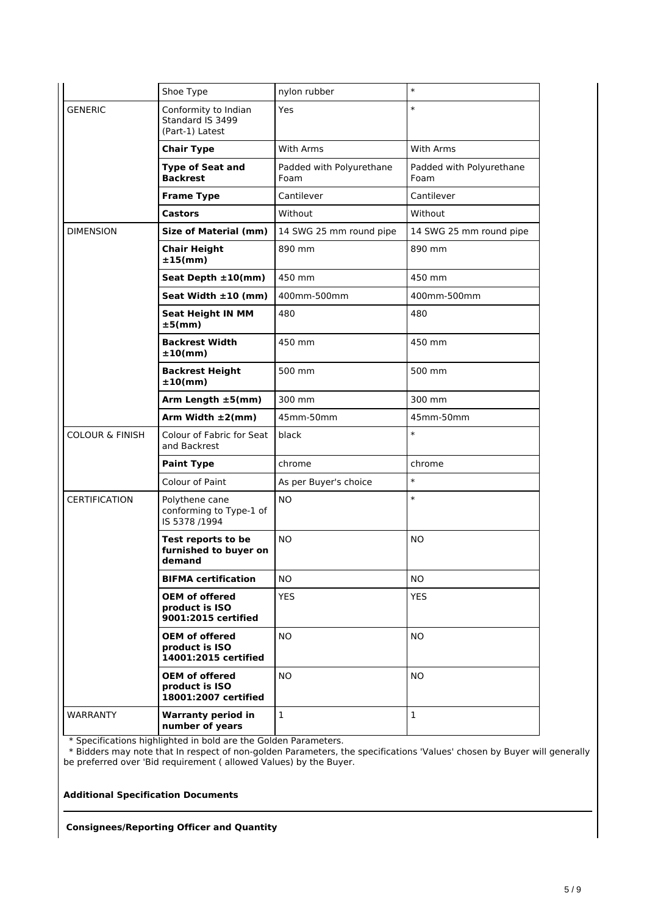|                            | Shoe Type                                                       | nylon rubber                     | $\ast$                           |
|----------------------------|-----------------------------------------------------------------|----------------------------------|----------------------------------|
| <b>GENERIC</b>             | Conformity to Indian<br>Standard IS 3499<br>(Part-1) Latest     | Yes                              | $\ast$                           |
|                            | <b>Chair Type</b>                                               | <b>With Arms</b>                 | With Arms                        |
|                            | <b>Type of Seat and</b><br><b>Backrest</b>                      | Padded with Polyurethane<br>Foam | Padded with Polyurethane<br>Foam |
|                            | <b>Frame Type</b>                                               | Cantilever                       | Cantilever                       |
|                            | <b>Castors</b>                                                  | Without                          | Without                          |
| <b>DIMENSION</b>           | <b>Size of Material (mm)</b>                                    | 14 SWG 25 mm round pipe          | 14 SWG 25 mm round pipe          |
|                            | <b>Chair Height</b><br>$±15$ (mm)                               | 890 mm                           | 890 mm                           |
|                            | Seat Depth $\pm 10$ (mm)                                        | 450 mm                           | 450 mm                           |
|                            | Seat Width $\pm 10$ (mm)                                        | 400mm-500mm                      | 400mm-500mm                      |
|                            | <b>Seat Height IN MM</b><br>$±5$ (mm)                           | 480                              | 480                              |
|                            | <b>Backrest Width</b><br>$±10$ (mm)                             | 450 mm                           | 450 mm                           |
|                            | <b>Backrest Height</b><br>±10(mm)                               | 500 mm                           | 500 mm                           |
|                            | Arm Length ±5(mm)                                               | 300 mm                           | 300 mm                           |
|                            | Arm Width $\pm 2$ (mm)                                          | 45mm-50mm                        | 45mm-50mm                        |
| <b>COLOUR &amp; FINISH</b> | Colour of Fabric for Seat<br>and Backrest                       | black                            | $\ast$                           |
|                            | <b>Paint Type</b>                                               | chrome                           | chrome                           |
|                            | <b>Colour of Paint</b>                                          | As per Buyer's choice            | $\ast$                           |
| <b>CERTIFICATION</b>       | Polythene cane<br>conforming to Type-1 of<br>IS 5378 /1994      | NO.                              | $\ast$                           |
|                            | Test reports to be<br>furnished to buyer on<br>demand           | <b>NO</b>                        | NO.                              |
|                            | <b>BIFMA certification</b>                                      | NO.                              | NO.                              |
|                            | <b>OEM of offered</b><br>product is ISO<br>9001:2015 certified  | <b>YES</b>                       | <b>YES</b>                       |
|                            | <b>OEM of offered</b><br>product is ISO<br>14001:2015 certified | NO.                              | NO.                              |
|                            | <b>OEM of offered</b><br>product is ISO<br>18001:2007 certified | NO.                              | NO.                              |
| <b>WARRANTY</b>            | <b>Warranty period in</b><br>number of years                    | $\mathbf{1}$                     | $\mathbf{1}$                     |

\* Specifications highlighted in bold are the Golden Parameters.

 \* Bidders may note that In respect of non-golden Parameters, the specifications 'Values' chosen by Buyer will generally be preferred over 'Bid requirement ( allowed Values) by the Buyer.

**Additional Specification Documents**

**Consignees/Reporting Officer and Quantity**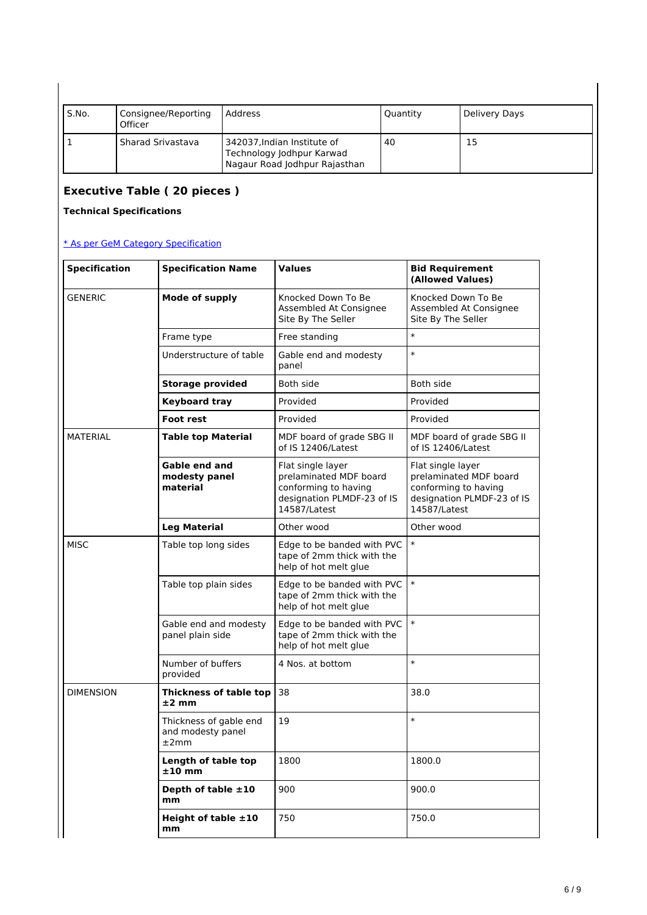| S.No. | Consignee/Reporting<br>Officer | l Address                                                                                 | Quantity | Delivery Days |
|-------|--------------------------------|-------------------------------------------------------------------------------------------|----------|---------------|
|       | Sharad Srivastava              | 342037, Indian Institute of<br>Technology Jodhpur Karwad<br>Nagaur Road Jodhpur Rajasthan | 40       | 15            |

# **Executive Table ( 20 pieces )**

# **Technical Specifications**

[\\* As per GeM Category Specification](https://bidplus.gem.gov.in/bidding/bid/showCatalogue/BicjUYr-weqNRsQLzz05MldCjlniJhPBQTjPLHs1sts)

| <b>Specification</b> | <b>Specification Name</b>                           | <b>Values</b>                                                                                                     | <b>Bid Requirement</b><br>(Allowed Values)                                                                        |
|----------------------|-----------------------------------------------------|-------------------------------------------------------------------------------------------------------------------|-------------------------------------------------------------------------------------------------------------------|
| <b>GENERIC</b>       | Mode of supply                                      | Knocked Down To Be<br>Assembled At Consignee<br>Site By The Seller                                                | Knocked Down To Be<br>Assembled At Consignee<br>Site By The Seller                                                |
|                      | Frame type                                          | Free standing                                                                                                     | $\ast$                                                                                                            |
|                      | Understructure of table                             | Gable end and modesty<br>panel                                                                                    | $\ast$                                                                                                            |
|                      | <b>Storage provided</b>                             | Both side                                                                                                         | Both side                                                                                                         |
|                      | <b>Keyboard tray</b>                                | Provided                                                                                                          | Provided                                                                                                          |
|                      | Foot rest                                           | Provided                                                                                                          | Provided                                                                                                          |
| <b>MATERIAL</b>      | <b>Table top Material</b>                           | MDF board of grade SBG II<br>of IS 12406/Latest                                                                   | MDF board of grade SBG II<br>of IS 12406/Latest                                                                   |
|                      | Gable end and<br>modesty panel<br>material          | Flat single layer<br>prelaminated MDF board<br>conforming to having<br>designation PLMDF-23 of IS<br>14587/Latest | Flat single layer<br>prelaminated MDF board<br>conforming to having<br>designation PLMDF-23 of IS<br>14587/Latest |
|                      | <b>Leg Material</b>                                 | Other wood                                                                                                        | Other wood                                                                                                        |
| <b>MISC</b>          | Table top long sides                                | Edge to be banded with PVC<br>tape of 2mm thick with the<br>help of hot melt glue                                 | $\ast$                                                                                                            |
|                      | Table top plain sides                               | Edge to be banded with PVC<br>tape of 2mm thick with the<br>help of hot melt glue                                 | $\ast$                                                                                                            |
|                      | Gable end and modesty<br>panel plain side           | Edge to be banded with PVC<br>tape of 2mm thick with the<br>help of hot melt glue                                 | $\ast$                                                                                                            |
|                      | Number of buffers<br>provided                       | 4 Nos. at bottom                                                                                                  | $\ast$                                                                                                            |
| <b>DIMENSION</b>     | Thickness of table top<br>$±2$ mm                   | 38                                                                                                                | 38.0                                                                                                              |
|                      | Thickness of gable end<br>and modesty panel<br>±2mm | 19                                                                                                                | $\ast$                                                                                                            |
|                      | Length of table top<br>$±10$ mm                     | 1800                                                                                                              | 1800.0                                                                                                            |
|                      | Depth of table $\pm 10$<br>mm                       | 900                                                                                                               | 900.0                                                                                                             |
|                      | Height of table $\pm 10$<br>mm                      | 750                                                                                                               | 750.0                                                                                                             |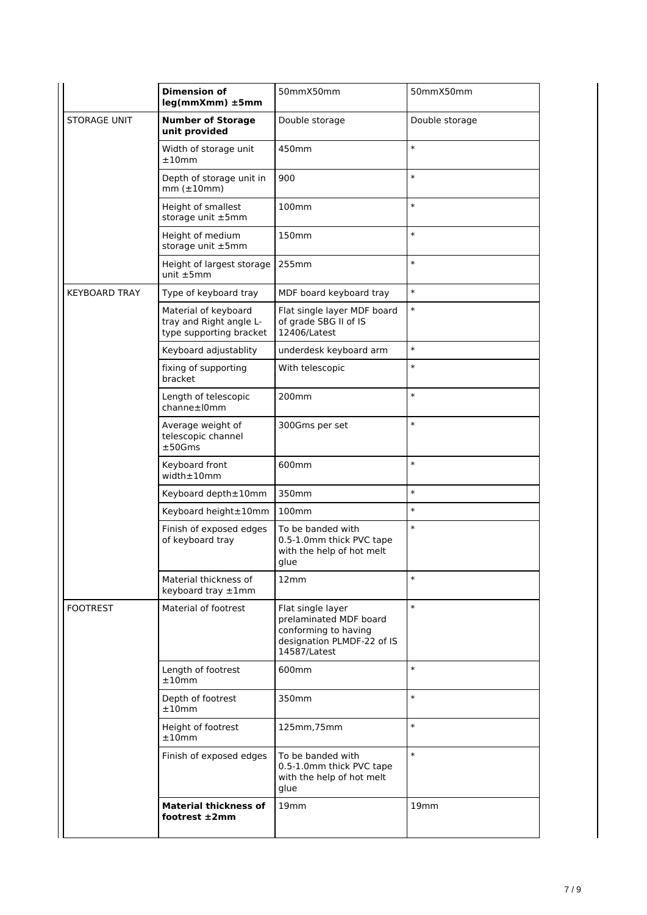|                      | <b>Dimension of</b><br>$leg(mmXmm) \pm 5mm$                                | 50mmX50mm                                                                                                         | 50mmX50mm        |
|----------------------|----------------------------------------------------------------------------|-------------------------------------------------------------------------------------------------------------------|------------------|
| <b>STORAGE UNIT</b>  | <b>Number of Storage</b><br>unit provided                                  | Double storage                                                                                                    | Double storage   |
|                      | Width of storage unit<br>±10mm                                             | 450mm                                                                                                             | $\ast$           |
|                      | Depth of storage unit in<br>$mm(\pm10mm)$                                  | 900                                                                                                               | $\ast$           |
|                      | Height of smallest<br>storage unit ±5mm                                    | 100mm                                                                                                             | $\ast$           |
|                      | Height of medium<br>storage unit ±5mm                                      | 150mm                                                                                                             | $\ast$           |
|                      | Height of largest storage<br>unit $±5mm$                                   | 255mm                                                                                                             | $\ast$           |
| <b>KEYBOARD TRAY</b> | Type of keyboard tray                                                      | MDF board keyboard tray                                                                                           | $\ast$           |
|                      | Material of keyboard<br>tray and Right angle L-<br>type supporting bracket | Flat single layer MDF board<br>of grade SBG II of IS<br>12406/Latest                                              | $\ast$           |
|                      | Keyboard adjustablity                                                      | underdesk keyboard arm                                                                                            | $\ast$           |
|                      | fixing of supporting<br>bracket                                            | With telescopic                                                                                                   | $\ast$           |
|                      | Length of telescopic<br>channe±10mm                                        | 200 <sub>mm</sub>                                                                                                 | $\ast$           |
|                      | Average weight of<br>telescopic channel<br>±50Gms                          | 300Gms per set                                                                                                    | $\ast$           |
|                      | Keyboard front<br>width±10mm                                               | 600mm                                                                                                             | $\ast$           |
|                      | Keyboard depth±10mm                                                        | 350mm                                                                                                             | $\ast$           |
|                      | Keyboard height±10mm                                                       | 100mm                                                                                                             | $\ast$           |
|                      | Finish of exposed edges<br>of keyboard tray                                | To be banded with<br>0.5-1.0mm thick PVC tape<br>with the help of hot melt<br>glue                                | $\ast$           |
|                      | Material thickness of<br>keyboard tray ±1mm                                | 12mm                                                                                                              | $\ast$           |
| <b>FOOTREST</b>      | Material of footrest                                                       | Flat single layer<br>prelaminated MDF board<br>conforming to having<br>designation PLMDF-22 of IS<br>14587/Latest | $\ast$           |
|                      | Length of footrest<br>±10mm                                                | 600mm                                                                                                             | $\ast$           |
|                      | Depth of footrest<br>±10mm                                                 | 350mm                                                                                                             | $\ast$           |
|                      | Height of footrest<br>±10mm                                                | 125mm,75mm                                                                                                        | $\ast$           |
|                      | Finish of exposed edges                                                    | To be banded with<br>0.5-1.0mm thick PVC tape<br>with the help of hot melt<br>glue                                | $\ast$           |
|                      | <b>Material thickness of</b><br>footrest $\pm 2$ mm                        | 19 <sub>mm</sub>                                                                                                  | 19 <sub>mm</sub> |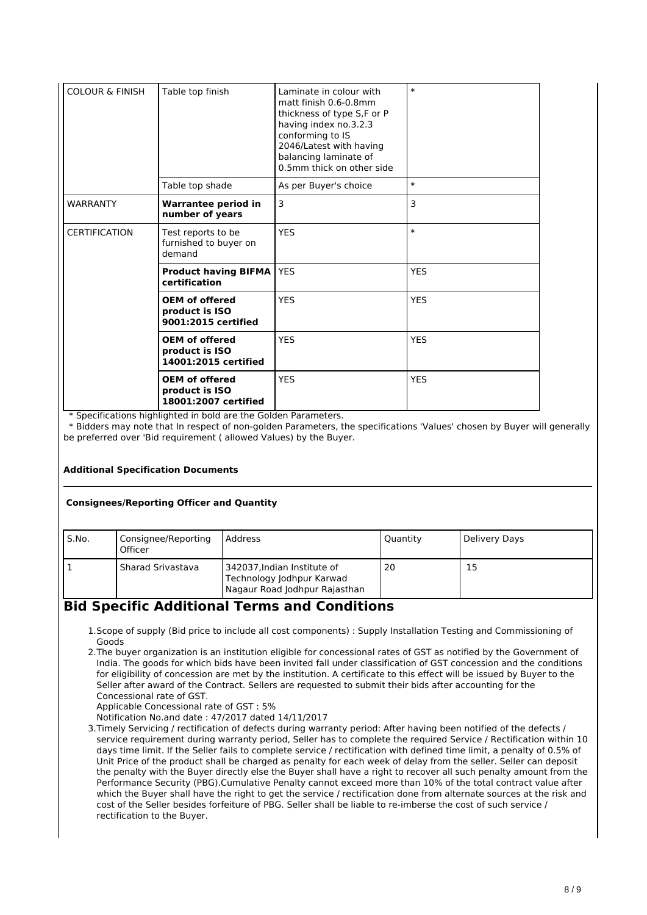| <b>COLOUR &amp; FINISH</b> | Table top finish                                                | Laminate in colour with<br>matt finish 0.6-0.8mm<br>thickness of type S,F or P<br>having index no.3.2.3<br>conforming to IS<br>2046/Latest with having<br>balancing laminate of<br>0.5mm thick on other side | $\ast$     |
|----------------------------|-----------------------------------------------------------------|--------------------------------------------------------------------------------------------------------------------------------------------------------------------------------------------------------------|------------|
|                            | Table top shade                                                 | As per Buyer's choice                                                                                                                                                                                        | $\ast$     |
| <b>WARRANTY</b>            | <b>Warrantee period in</b><br>number of years                   | 3                                                                                                                                                                                                            | 3          |
| <b>CERTIFICATION</b>       | Test reports to be<br>furnished to buyer on<br>demand           | <b>YES</b>                                                                                                                                                                                                   | $\ast$     |
|                            | <b>Product having BIFMA</b><br>certification                    | <b>YES</b>                                                                                                                                                                                                   | <b>YES</b> |
|                            | <b>OEM of offered</b><br>product is ISO<br>9001:2015 certified  | <b>YES</b>                                                                                                                                                                                                   | <b>YES</b> |
|                            | <b>OEM of offered</b><br>product is ISO<br>14001:2015 certified | <b>YES</b>                                                                                                                                                                                                   | <b>YES</b> |
|                            | <b>OEM of offered</b><br>product is ISO<br>18001:2007 certified | <b>YES</b>                                                                                                                                                                                                   | <b>YES</b> |

\* Specifications highlighted in bold are the Golden Parameters.

 \* Bidders may note that In respect of non-golden Parameters, the specifications 'Values' chosen by Buyer will generally be preferred over 'Bid requirement ( allowed Values) by the Buyer.

#### **Additional Specification Documents**

#### **Consignees/Reporting Officer and Quantity**

| S.No. | Consignee/Reporting<br>Officer | l Address                                                                                 | Quantity | Delivery Days |
|-------|--------------------------------|-------------------------------------------------------------------------------------------|----------|---------------|
|       | l Sharad Srivastava            | 342037, Indian Institute of<br>Technology Jodhpur Karwad<br>Nagaur Road Jodhpur Rajasthan | 20       | 15            |

## **Bid Specific Additional Terms and Conditions**

- 1.Scope of supply (Bid price to include all cost components) : Supply Installation Testing and Commissioning of Goods
- 2.The buyer organization is an institution eligible for concessional rates of GST as notified by the Government of India. The goods for which bids have been invited fall under classification of GST concession and the conditions for eligibility of concession are met by the institution. A certificate to this effect will be issued by Buyer to the Seller after award of the Contract. Sellers are requested to submit their bids after accounting for the Concessional rate of GST.
	- Applicable Concessional rate of GST : 5%

Notification No.and date : 47/2017 dated 14/11/2017

3.Timely Servicing / rectification of defects during warranty period: After having been notified of the defects / service requirement during warranty period, Seller has to complete the required Service / Rectification within 10 days time limit. If the Seller fails to complete service / rectification with defined time limit, a penalty of 0.5% of Unit Price of the product shall be charged as penalty for each week of delay from the seller. Seller can deposit the penalty with the Buyer directly else the Buyer shall have a right to recover all such penalty amount from the Performance Security (PBG).Cumulative Penalty cannot exceed more than 10% of the total contract value after which the Buyer shall have the right to get the service / rectification done from alternate sources at the risk and cost of the Seller besides forfeiture of PBG. Seller shall be liable to re-imberse the cost of such service / rectification to the Buyer.